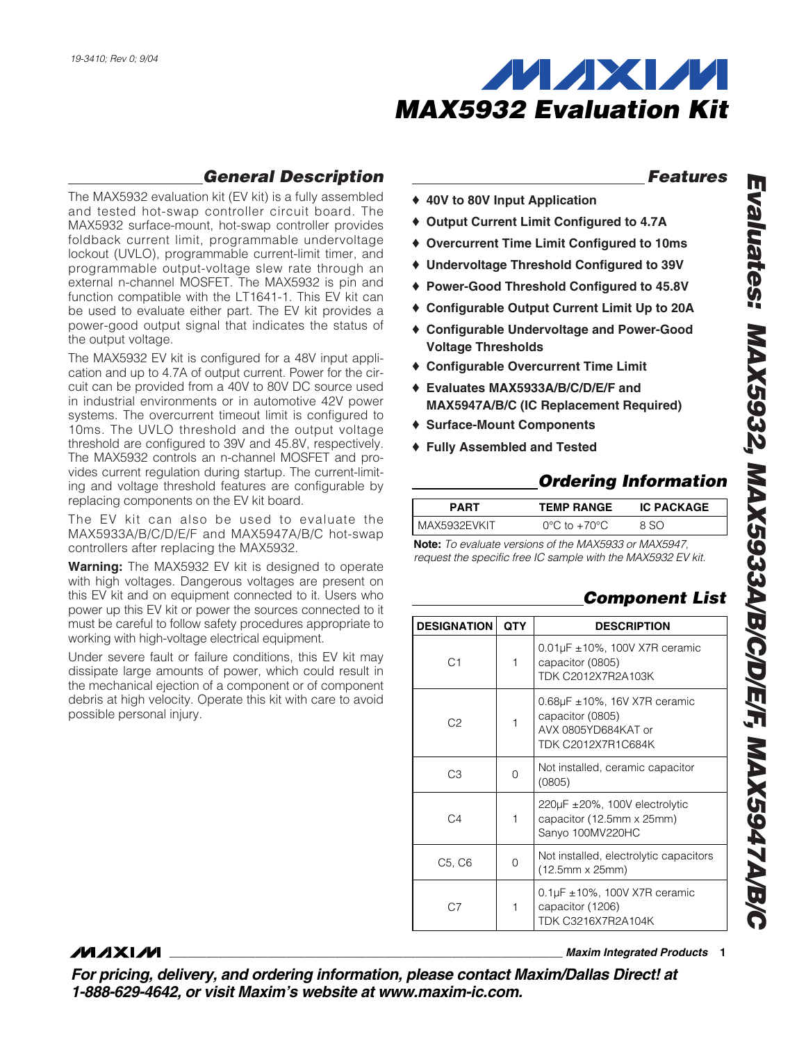

## *General Description*

The MAX5932 evaluation kit (EV kit) is a fully assembled and tested hot-swap controller circuit board. The MAX5932 surface-mount, hot-swap controller provides foldback current limit, programmable undervoltage lockout (UVLO), programmable current-limit timer, and programmable output-voltage slew rate through an external n-channel MOSFET. The MAX5932 is pin and function compatible with the LT1641-1. This EV kit can be used to evaluate either part. The EV kit provides a power-good output signal that indicates the status of the output voltage.

The MAX5932 EV kit is configured for a 48V input application and up to 4.7A of output current. Power for the circuit can be provided from a 40V to 80V DC source used in industrial environments or in automotive 42V power systems. The overcurrent timeout limit is configured to 10ms. The UVLO threshold and the output voltage threshold are configured to 39V and 45.8V, respectively. The MAX5932 controls an n-channel MOSFET and provides current regulation during startup. The current-limiting and voltage threshold features are configurable by replacing components on the EV kit board.

The EV kit can also be used to evaluate the MAX5933A/B/C/D/E/F and MAX5947A/B/C hot-swap controllers after replacing the MAX5932.

**Warning:** The MAX5932 EV kit is designed to operate with high voltages. Dangerous voltages are present on this EV kit and on equipment connected to it. Users who power up this EV kit or power the sources connected to it must be careful to follow safety procedures appropriate to working with high-voltage electrical equipment.

Under severe fault or failure conditions, this EV kit may dissipate large amounts of power, which could result in the mechanical ejection of a component or of component debris at high velocity. Operate this kit with care to avoid possible personal injury.

### *Features*

- ♦ **40V to 80V Input Application**
- ♦ **Output Current Limit Configured to 4.7A**
- ♦ **Overcurrent Time Limit Configured to 10ms**
- ♦ **Undervoltage Threshold Configured to 39V**
- ♦ **Power-Good Threshold Configured to 45.8V**
- ♦ **Configurable Output Current Limit Up to 20A**
- ♦ **Configurable Undervoltage and Power-Good Voltage Thresholds**
- ♦ **Configurable Overcurrent Time Limit**
- ♦ **Evaluates MAX5933A/B/C/D/E/F and MAX5947A/B/C (IC Replacement Required)**
- ♦ **Surface-Mount Components**
- ♦ **Fully Assembled and Tested**

## *Ordering Information*

| PART         | <b>TEMP RANGE</b>                | <b>IC PACKAGE</b> |
|--------------|----------------------------------|-------------------|
| MAX5932FVKIT | $0^{\circ}$ C to $+70^{\circ}$ C | חף מ              |

**Note:** *To evaluate versions of the MAX5933 or MAX5947, request the specific free IC sample with the MAX5932 EV kit.*

## *Component List*

| <b>DESIGNATION</b> | <b>QTY</b> | <b>DESCRIPTION</b>                                                                                      |  |
|--------------------|------------|---------------------------------------------------------------------------------------------------------|--|
| C <sub>1</sub>     | 1          | $0.01 \mu$ F $\pm 10\%$ , 100V X7R ceramic<br>capacitor (0805)<br>TDK C2012X7R2A103K                    |  |
| C <sub>2</sub>     | 1          | $0.68\mu$ F $\pm$ 10%, 16V X7R ceramic<br>capacitor (0805)<br>AVX 0805YD684KAT or<br>TDK C2012X7R1C684K |  |
| CЗ                 | O          | Not installed, ceramic capacitor<br>(0805)                                                              |  |
| C <sub>4</sub>     | 1          | 220 $\mu$ F $\pm$ 20%, 100V electrolytic<br>capacitor (12.5mm x 25mm)<br>Sanyo 100MV220HC               |  |
| C5, C6             | 0          | Not installed, electrolytic capacitors<br>(12.5mm x 25mm)                                               |  |
| C7                 | 1          | $0.1 \mu$ F ± 10%, 100V X7R ceramic<br>capacitor (1206)<br>TDK C3216X7R2A104K                           |  |

## **MAXIM**

*For pricing, delivery, and ordering information, please contact Maxim/Dallas Direct! at 1-888-629-4642, or visit Maxim's website at www.maxim-ic.com.*

**\_\_\_\_\_\_\_\_\_\_\_\_\_\_\_\_\_\_\_\_\_\_\_\_\_\_\_\_\_\_\_\_\_\_\_\_\_\_\_\_\_\_\_\_\_\_\_\_\_\_\_\_\_\_\_\_\_\_\_\_\_\_\_\_** *Maxim Integrated Products* **1**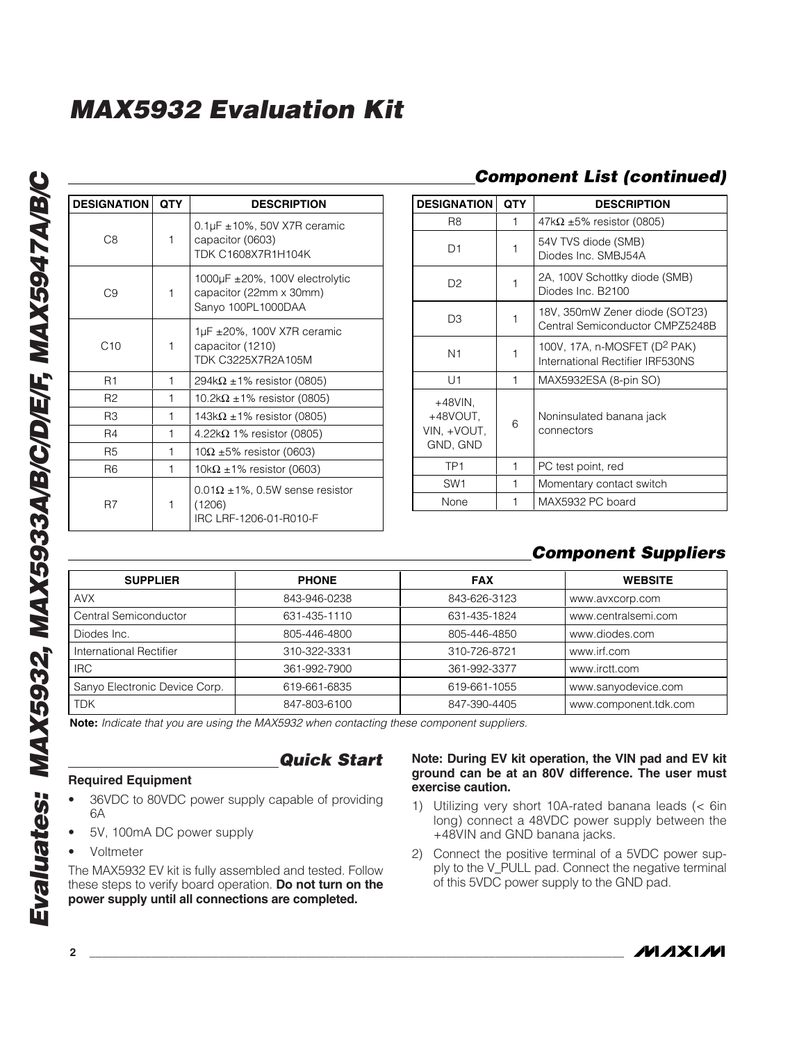| <b>DESIGNATION</b> | <b>QTY</b>   | <b>DESCRIPTION</b>                                                                         |  |
|--------------------|--------------|--------------------------------------------------------------------------------------------|--|
| C <sub>8</sub>     | $\mathbf 1$  | 0.1 $\mu$ F $\pm$ 10%, 50V X7R ceramic<br>capacitor (0603)<br><b>TDK C1608X7R1H104K</b>    |  |
| C9                 | 1            | 1000 $\mu$ F $\pm$ 20%, 100V electrolytic<br>capacitor (22mm x 30mm)<br>Sanyo 100PL1000DAA |  |
| C10                | 1            | $1\mu$ F ±20%, 100V X7R ceramic<br>capacitor (1210)<br>TDK C3225X7R2A105M                  |  |
| R1                 | 1            | $294k\Omega \pm 1\%$ resistor (0805)                                                       |  |
| R <sub>2</sub>     | 1            | 10.2k $\Omega$ ±1% resistor (0805)                                                         |  |
| R3                 | 1            | 143k $\Omega$ ±1% resistor (0805)                                                          |  |
| R4                 | 1            | $4.22k\Omega$ 1% resistor (0805)                                                           |  |
| R <sub>5</sub>     | 1            | $10\Omega \pm 5\%$ resistor (0603)                                                         |  |
| R <sub>6</sub>     | 1            | $10k\Omega \pm 1\%$ resistor (0603)                                                        |  |
| R7                 | $\mathbf{1}$ | $0.01\Omega \pm 1\%$ , 0.5W sense resistor<br>(1206)<br>IRC LRF-1206-01-R010-F             |  |

## *Component List (continued)*

| <b>DESIGNATION</b>                                | <b>QTY</b> | <b>DESCRIPTION</b>                                                           |  |
|---------------------------------------------------|------------|------------------------------------------------------------------------------|--|
| R8                                                | 1          | $47k\Omega \pm 5\%$ resistor (0805)                                          |  |
| D1                                                | 1          | 54V TVS diode (SMB)<br>Diodes Inc. SMBJ54A                                   |  |
| D <sub>2</sub>                                    | 1          | 2A, 100V Schottky diode (SMB)<br>Diodes Inc. B2100                           |  |
| D3                                                | 1          | 18V, 350mW Zener diode (SOT23)<br>Central Semiconductor CMPZ5248B            |  |
| N1                                                | 1          | 100V, 17A, n-MOSFET (D <sup>2</sup> PAK)<br>International Rectifier IRF530NS |  |
| U1                                                | 1          | MAX5932ESA (8-pin SO)                                                        |  |
| $+48$ VIN,<br>+48VOUT,<br>VIN, +VOUT,<br>GND, GND | 6          | Noninsulated banana jack<br>connectors                                       |  |
| TP <sub>1</sub>                                   | 1          | PC test point, red                                                           |  |
| SW <sub>1</sub>                                   | 1          | Momentary contact switch                                                     |  |
| None                                              |            | MAX5932 PC board                                                             |  |

## *Component Suppliers*

| <b>SUPPLIER</b>               | <b>PHONE</b> | <b>FAX</b>   | <b>WEBSITE</b>        |
|-------------------------------|--------------|--------------|-----------------------|
| <b>AVX</b>                    | 843-946-0238 | 843-626-3123 | www.avxcorp.com       |
| Central Semiconductor         | 631-435-1110 | 631-435-1824 | www.centralsemi.com   |
| Diodes Inc.                   | 805-446-4800 | 805-446-4850 | www.diodes.com        |
| International Rectifier       | 310-322-3331 | 310-726-8721 | www.irf.com           |
| <b>IRC</b>                    | 361-992-7900 | 361-992-3377 | www.irctt.com         |
| Sanyo Electronic Device Corp. | 619-661-6835 | 619-661-1055 | www.sanyodevice.com   |
| <b>TDK</b>                    | 847-803-6100 | 847-390-4405 | www.component.tdk.com |

**Note:** *Indicate that you are using the MAX5932 when contacting these component suppliers.*

*Quick Start*

#### **Required Equipment**

- 36VDC to 80VDC power supply capable of providing 6A
- 5V, 100mA DC power supply
- Voltmeter

The MAX5932 EV kit is fully assembled and tested. Follow these steps to verify board operation. **Do not turn on the power supply until all connections are completed.**

#### **Note: During EV kit operation, the VIN pad and EV kit ground can be at an 80V difference. The user must exercise caution.**

- 1) Utilizing very short 10A-rated banana leads (< 6in long) connect a 48VDC power supply between the +48VIN and GND banana jacks.
- 2) Connect the positive terminal of a 5VDC power supply to the V\_PULL pad. Connect the negative terminal of this 5VDC power supply to the GND pad.

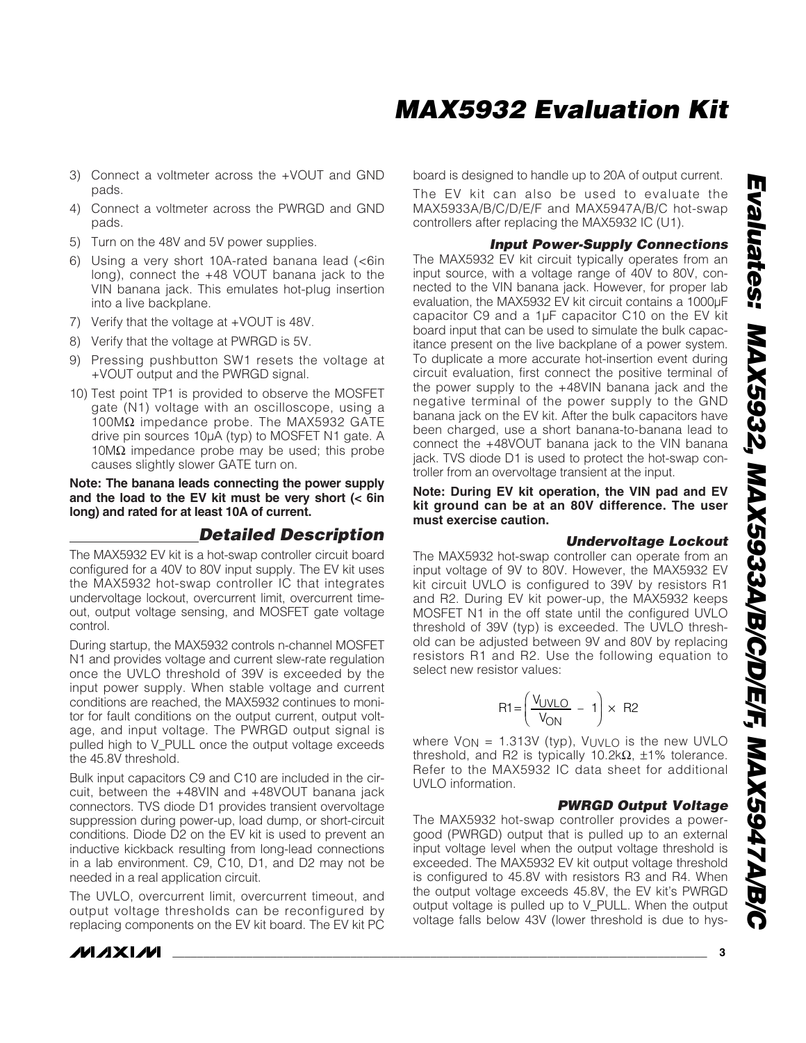- 3) Connect a voltmeter across the +VOUT and GND pads.
- 4) Connect a voltmeter across the PWRGD and GND pads.
- 5) Turn on the 48V and 5V power supplies.
- 6) Using a very short 10A-rated banana lead (<6in long), connect the +48 VOUT banana jack to the VIN banana jack. This emulates hot-plug insertion into a live backplane.
- 7) Verify that the voltage at +VOUT is 48V.
- 8) Verify that the voltage at PWRGD is 5V.
- 9) Pressing pushbutton SW1 resets the voltage at +VOUT output and the PWRGD signal.
- 10) Test point TP1 is provided to observe the MOSFET gate (N1) voltage with an oscilloscope, using a 100MΩ impedance probe. The MAX5932 GATE drive pin sources 10µA (typ) to MOSFET N1 gate. A  $10MΩ$  impedance probe may be used; this probe causes slightly slower GATE turn on.

**Note: The banana leads connecting the power supply and the load to the EV kit must be very short (< 6in long) and rated for at least 10A of current.**

### *Detailed Description*

The MAX5932 EV kit is a hot-swap controller circuit board configured for a 40V to 80V input supply. The EV kit uses the MAX5932 hot-swap controller IC that integrates undervoltage lockout, overcurrent limit, overcurrent timeout, output voltage sensing, and MOSFET gate voltage control.

During startup, the MAX5932 controls n-channel MOSFET N1 and provides voltage and current slew-rate regulation once the UVLO threshold of 39V is exceeded by the input power supply. When stable voltage and current conditions are reached, the MAX5932 continues to monitor for fault conditions on the output current, output voltage, and input voltage. The PWRGD output signal is pulled high to V\_PULL once the output voltage exceeds the 45.8V threshold.

Bulk input capacitors C9 and C10 are included in the circuit, between the +48VIN and +48VOUT banana jack connectors. TVS diode D1 provides transient overvoltage suppression during power-up, load dump, or short-circuit conditions. Diode D2 on the EV kit is used to prevent an inductive kickback resulting from long-lead connections in a lab environment. C9, C10, D1, and D2 may not be needed in a real application circuit.

The UVLO, overcurrent limit, overcurrent timeout, and output voltage thresholds can be reconfigured by replacing components on the EV kit board. The EV kit PC

board is designed to handle up to 20A of output current.

The EV kit can also be used to evaluate the MAX5933A/B/C/D/E/F and MAX5947A/B/C hot-swap controllers after replacing the MAX5932 IC (U1).

#### *Input Power-Supply Connections*

The MAX5932 EV kit circuit typically operates from an input source, with a voltage range of 40V to 80V, connected to the VIN banana jack. However, for proper lab evaluation, the MAX5932 EV kit circuit contains a 1000µF capacitor C9 and a 1µF capacitor C10 on the EV kit board input that can be used to simulate the bulk capacitance present on the live backplane of a power system. To duplicate a more accurate hot-insertion event during circuit evaluation, first connect the positive terminal of the power supply to the +48VIN banana jack and the negative terminal of the power supply to the GND banana jack on the EV kit. After the bulk capacitors have been charged, use a short banana-to-banana lead to connect the +48VOUT banana jack to the VIN banana jack. TVS diode D1 is used to protect the hot-swap controller from an overvoltage transient at the input.

**Note: During EV kit operation, the VIN pad and EV kit ground can be at an 80V difference. The user must exercise caution.**

#### *Undervoltage Lockout*

The MAX5932 hot-swap controller can operate from an input voltage of 9V to 80V. However, the MAX5932 EV kit circuit UVLO is configured to 39V by resistors R1 and R2. During EV kit power-up, the MAX5932 keeps MOSFET N1 in the off state until the configured UVLO threshold of 39V (typ) is exceeded. The UVLO threshold can be adjusted between 9V and 80V by replacing resistors R1 and R2. Use the following equation to select new resistor values:

$$
R1 = \left(\frac{V_{UVLO}}{V_{ON}} - 1\right) \times R2
$$

where  $V_{ON} = 1.313V$  (typ),  $V_{UVLO}$  is the new UVLO threshold, and R2 is typically 10.2k $Ω$ ,  $±1%$  tolerance. Refer to the MAX5932 IC data sheet for additional UVLO information.

#### *PWRGD Output Voltage*

The MAX5932 hot-swap controller provides a powergood (PWRGD) output that is pulled up to an external input voltage level when the output voltage threshold is exceeded. The MAX5932 EV kit output voltage threshold is configured to 45.8V with resistors R3 and R4. When the output voltage exceeds 45.8V, the EV kit's PWRGD output voltage is pulled up to V\_PULL. When the output voltage falls below 43V (lower threshold is due to hys-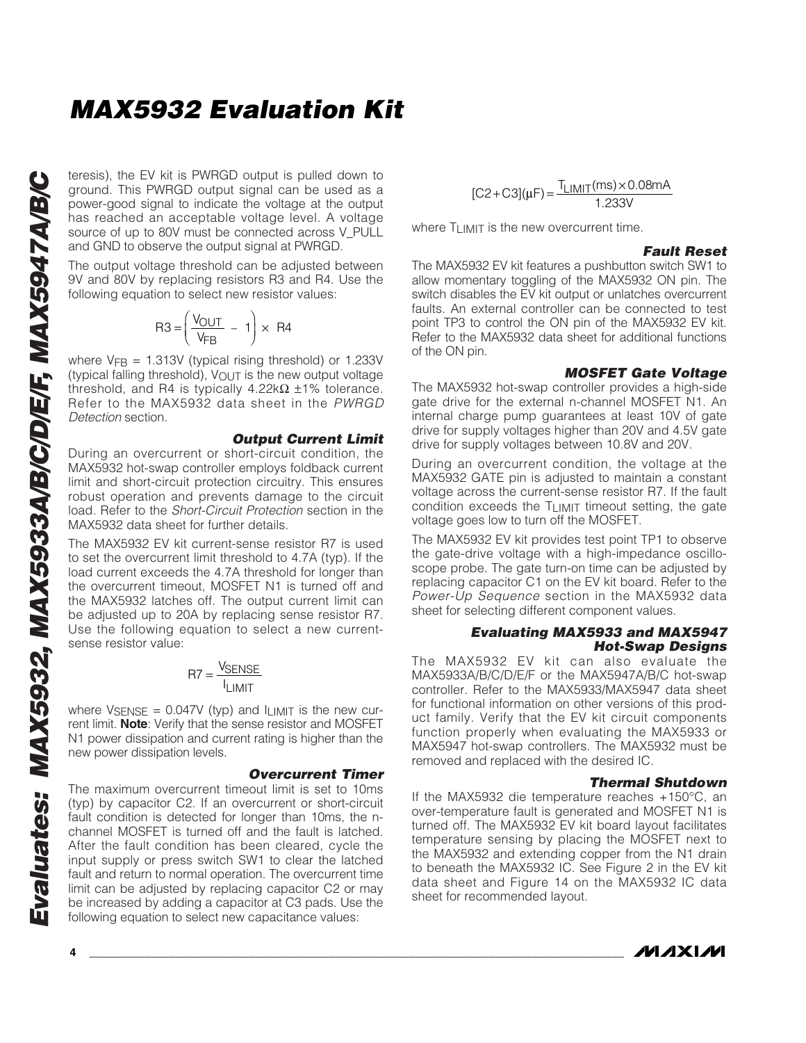ground. This PWRGD output signal can be used as a power-good signal to indicate the voltage at the output has reached an acceptable voltage level. A voltage source of up to 80V must be connected across V\_PULL and GND to observe the output signal at PWRGD.

The output voltage threshold can be adjusted between 9V and 80V by replacing resistors R3 and R4. Use the following equation to select new resistor values:

$$
R3 = \left(\frac{V_{OUT}}{V_{FB}} - 1\right) \times R4
$$

where  $V_{FB}$  = 1.313V (typical rising threshold) or 1.233V (typical falling threshold),  $V_{\text{OUT}}$  is the new output voltage threshold, and R4 is typically 4.22k $\Omega$  ±1% tolerance. Refer to the MAX5932 data sheet in the *PWRGD Detection* section.

#### *Output Current Limit*

During an overcurrent or short-circuit condition, the MAX5932 hot-swap controller employs foldback current limit and short-circuit protection circuitry. This ensures robust operation and prevents damage to the circuit load. Refer to the *Short-Circuit Protection* section in the MAX5932 data sheet for further details.

The MAX5932 EV kit current-sense resistor R7 is used to set the overcurrent limit threshold to 4.7A (typ). If the load current exceeds the 4.7A threshold for longer than the overcurrent timeout, MOSFET N1 is turned off and the MAX5932 latches off. The output current limit can be adjusted up to 20A by replacing sense resistor R7. Use the following equation to select a new currentsense resistor value:

$$
RT = \frac{V_{SENSE}}{I_{LIMIT}}
$$

where  $V_{\text{SENSE}} = 0.047V$  (typ) and  $I_{\text{LIMIT}}$  is the new current limit. **Note**: Verify that the sense resistor and MOSFET N1 power dissipation and current rating is higher than the new power dissipation levels.

#### *Overcurrent Timer*

**EVALUAT CONSECT TO CONSECT THE CONSECT TO CONSECT TO the EVALUAT SOURCE TO UNIT SOURCE TO UNIT SOURCE TO UNIT SOURCE TO UNIT SOURCE TO UNIT SOURCE TO UNIT ON THE OUTD TO BOY MAYEGO. The output voltage threshold can be adj** The maximum overcurrent timeout limit is set to 10ms (typ) by capacitor C2. If an overcurrent or short-circuit fault condition is detected for longer than 10ms, the nchannel MOSFET is turned off and the fault is latched. After the fault condition has been cleared, cycle the input supply or press switch SW1 to clear the latched fault and return to normal operation. The overcurrent time limit can be adjusted by replacing capacitor C2 or may be increased by adding a capacitor at C3 pads. Use the following equation to select new capacitance values:

$$
[C2 + C3](\mu F) = \frac{T_{LIMIT}(ms) \times 0.08mA}{1.233V}
$$

where TLIMIT is the new overcurrent time.

#### *Fault Reset*

The MAX5932 EV kit features a pushbutton switch SW1 to allow momentary toggling of the MAX5932 ON pin. The switch disables the EV kit output or unlatches overcurrent faults. An external controller can be connected to test point TP3 to control the ON pin of the MAX5932 EV kit. Refer to the MAX5932 data sheet for additional functions of the ON pin.

#### *MOSFET Gate Voltage*

The MAX5932 hot-swap controller provides a high-side gate drive for the external n-channel MOSFET N1. An internal charge pump guarantees at least 10V of gate drive for supply voltages higher than 20V and 4.5V gate drive for supply voltages between 10.8V and 20V.

During an overcurrent condition, the voltage at the MAX5932 GATE pin is adjusted to maintain a constant voltage across the current-sense resistor R7. If the fault condition exceeds the TLIMIT timeout setting, the gate voltage goes low to turn off the MOSFET.

The MAX5932 EV kit provides test point TP1 to observe the gate-drive voltage with a high-impedance oscilloscope probe. The gate turn-on time can be adjusted by replacing capacitor C1 on the EV kit board. Refer to the *Power-Up Sequence* section in the MAX5932 data sheet for selecting different component values.

#### *Evaluating MAX5933 and MAX5947 Hot-Swap Designs*

The MAX5932 EV kit can also evaluate the MAX5933A/B/C/D/E/F or the MAX5947A/B/C hot-swap controller. Refer to the MAX5933/MAX5947 data sheet for functional information on other versions of this product family. Verify that the EV kit circuit components function properly when evaluating the MAX5933 or MAX5947 hot-swap controllers. The MAX5932 must be removed and replaced with the desired IC.

#### *Thermal Shutdown*

If the MAX5932 die temperature reaches +150°C, an over-temperature fault is generated and MOSFET N1 is turned off. The MAX5932 EV kit board layout facilitates temperature sensing by placing the MOSFET next to the MAX5932 and extending copper from the N1 drain to beneath the MAX5932 IC. See Figure 2 in the EV kit data sheet and Figure 14 on the MAX5932 IC data sheet for recommended layout.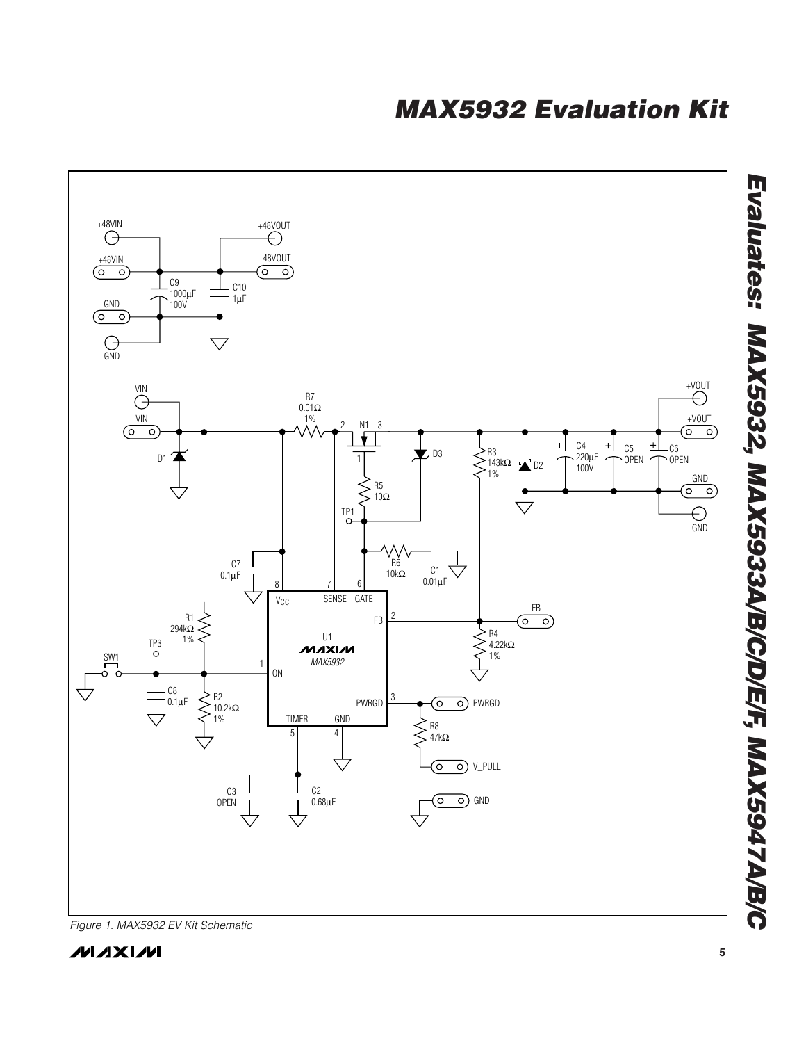

*Figure 1. MAX5932 EV Kit Schematic*

*Evaluates: MAX5932, MAX5933A/B/C/D/E/F, MAX5947A/B/C*